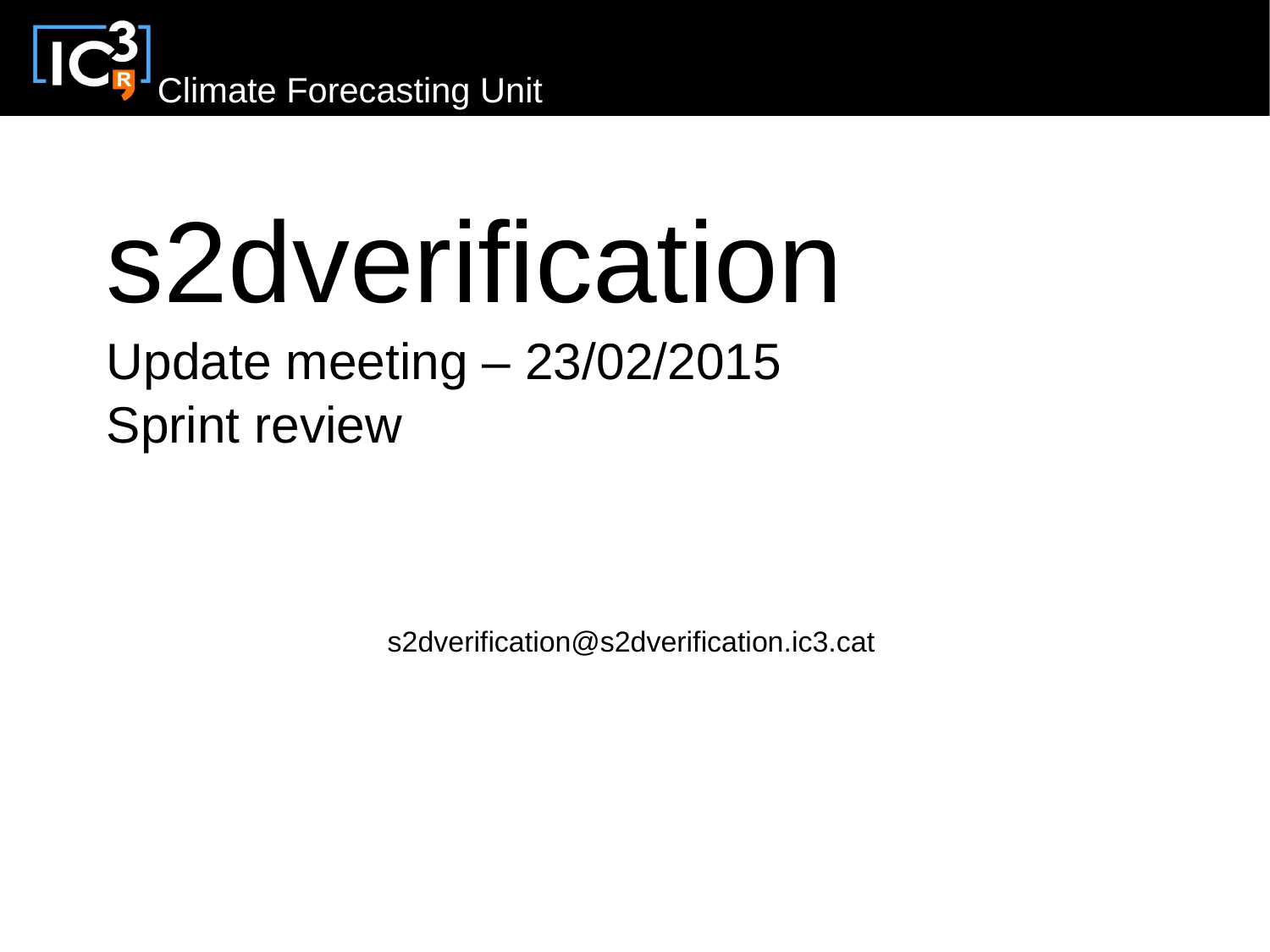

# s2dverification

#### Update meeting – 23/02/2015 Sprint review

s2dverification@s2dverification.ic3.cat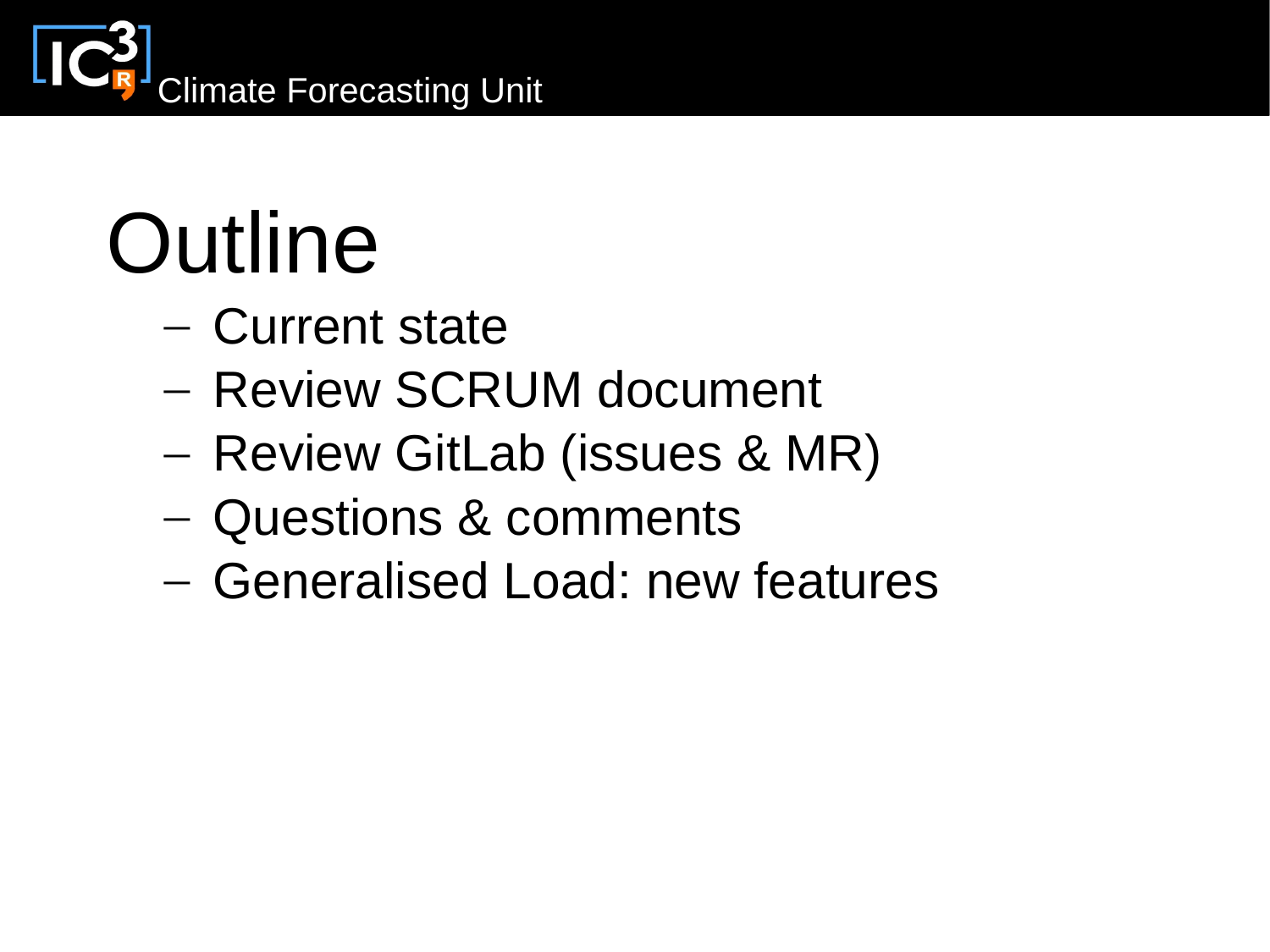

## **Outline**

- Current state
- Review SCRUM document
- Review GitLab (issues & MR)
- Questions & comments
- Generalised Load: new features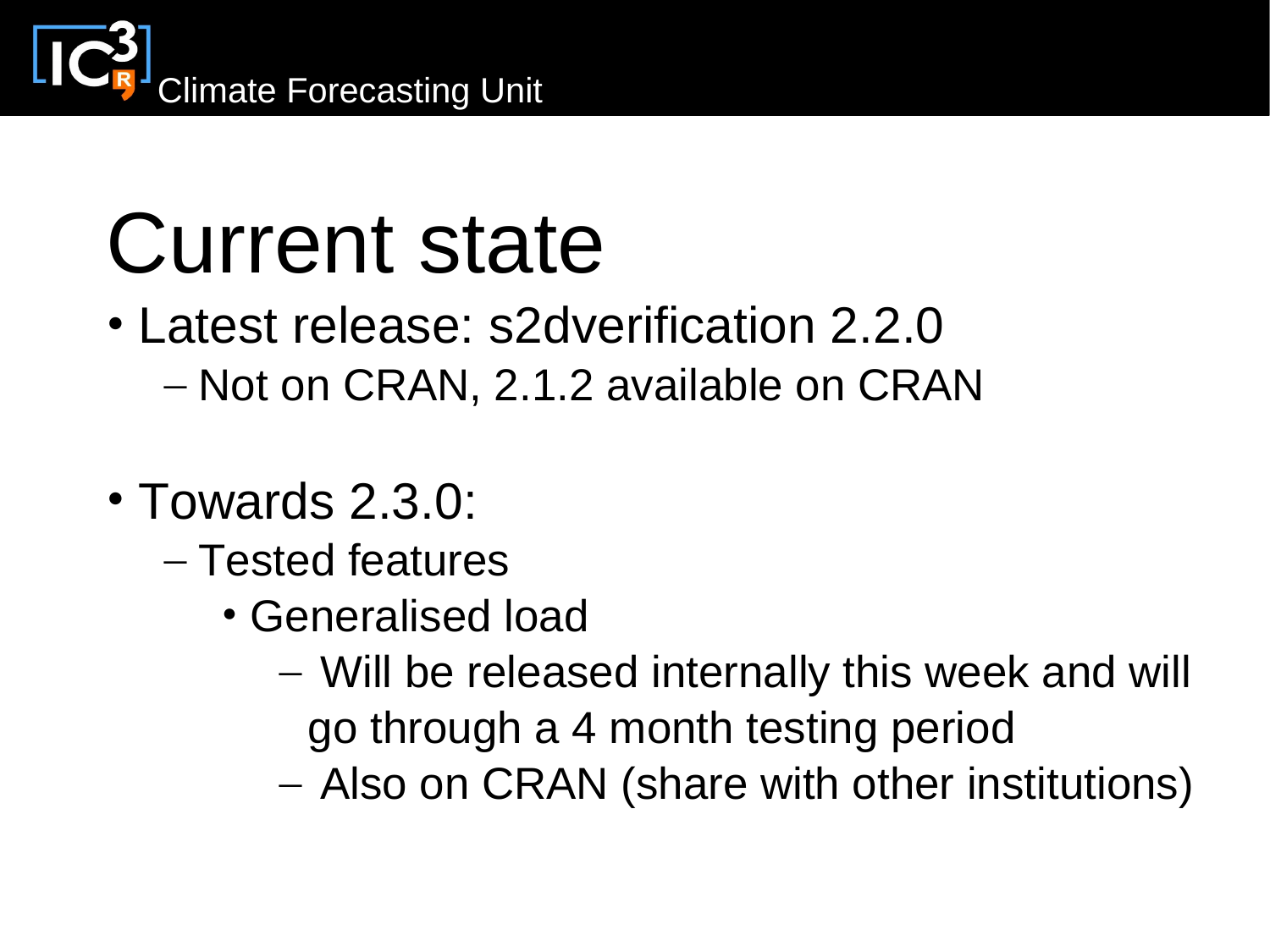

#### Current state

- Latest release: s2dverification 2.2.0 – Not on CRAN, 2.1.2 available on CRAN
- Towards 2.3.0:
	- Tested features
		- Generalised load
			- Will be released internally this week and will go through a 4 month testing period
			- Also on CRAN (share with other institutions)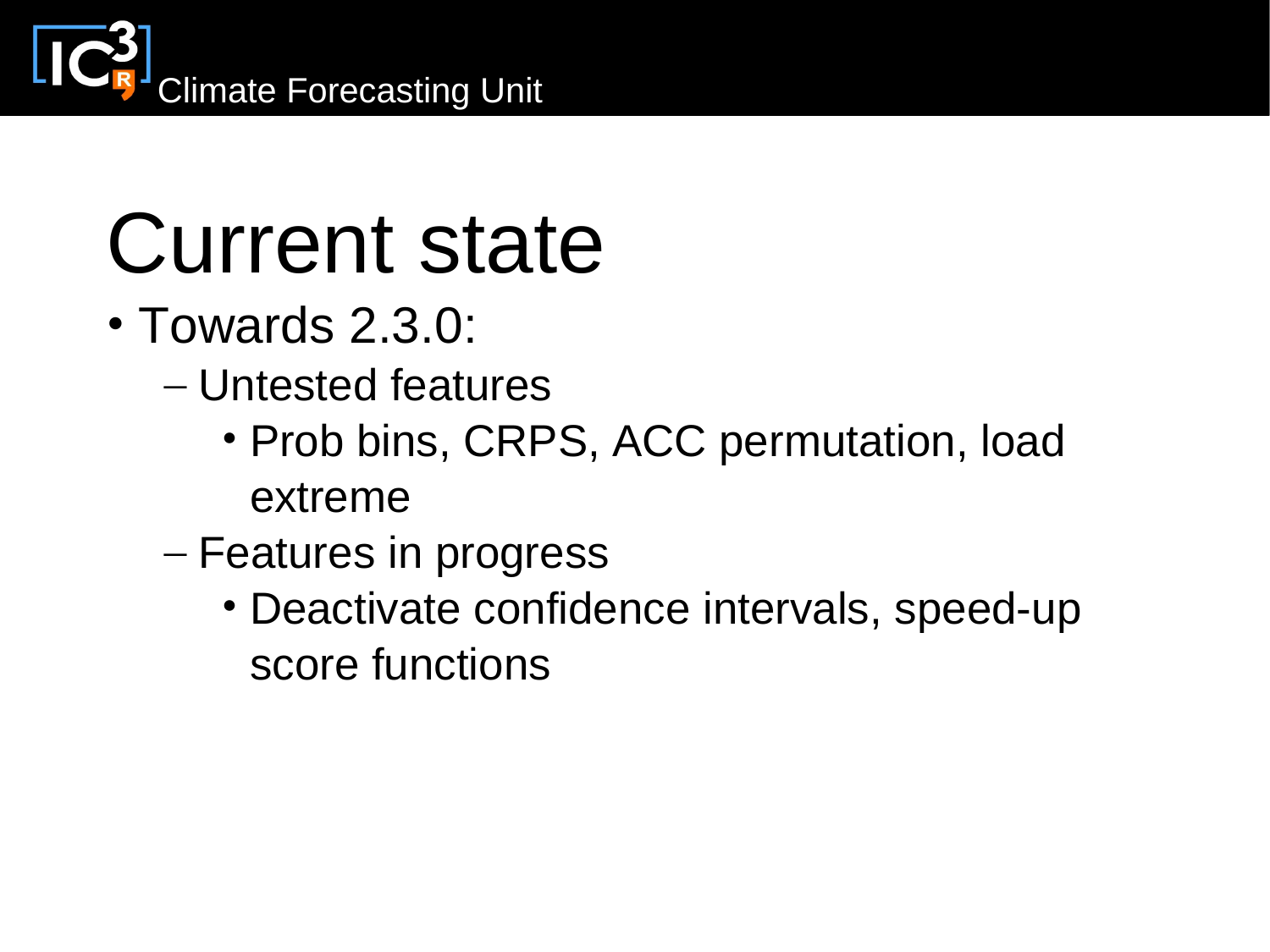

### Current state

- Towards 2.3.0:
	- Untested features
		- Prob bins, CRPS, ACC permutation, load extreme
	- Features in progress
		- Deactivate confidence intervals, speed-up score functions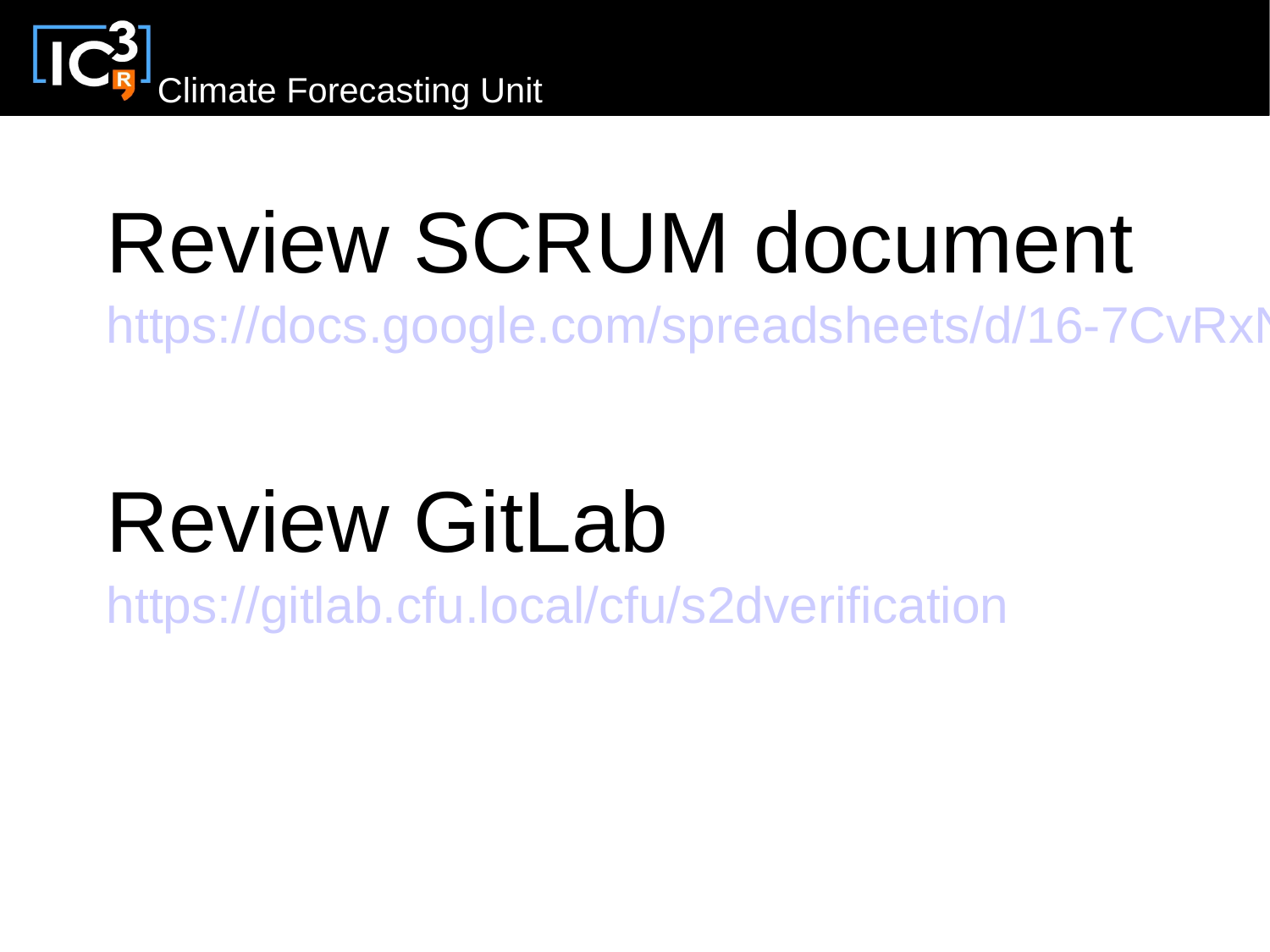

## Review SCRUM document

https://docs.google.com/spreadsheets/d/16-7CvRxM

### Review GitLab

<https://gitlab.cfu.local/cfu/s2dverification>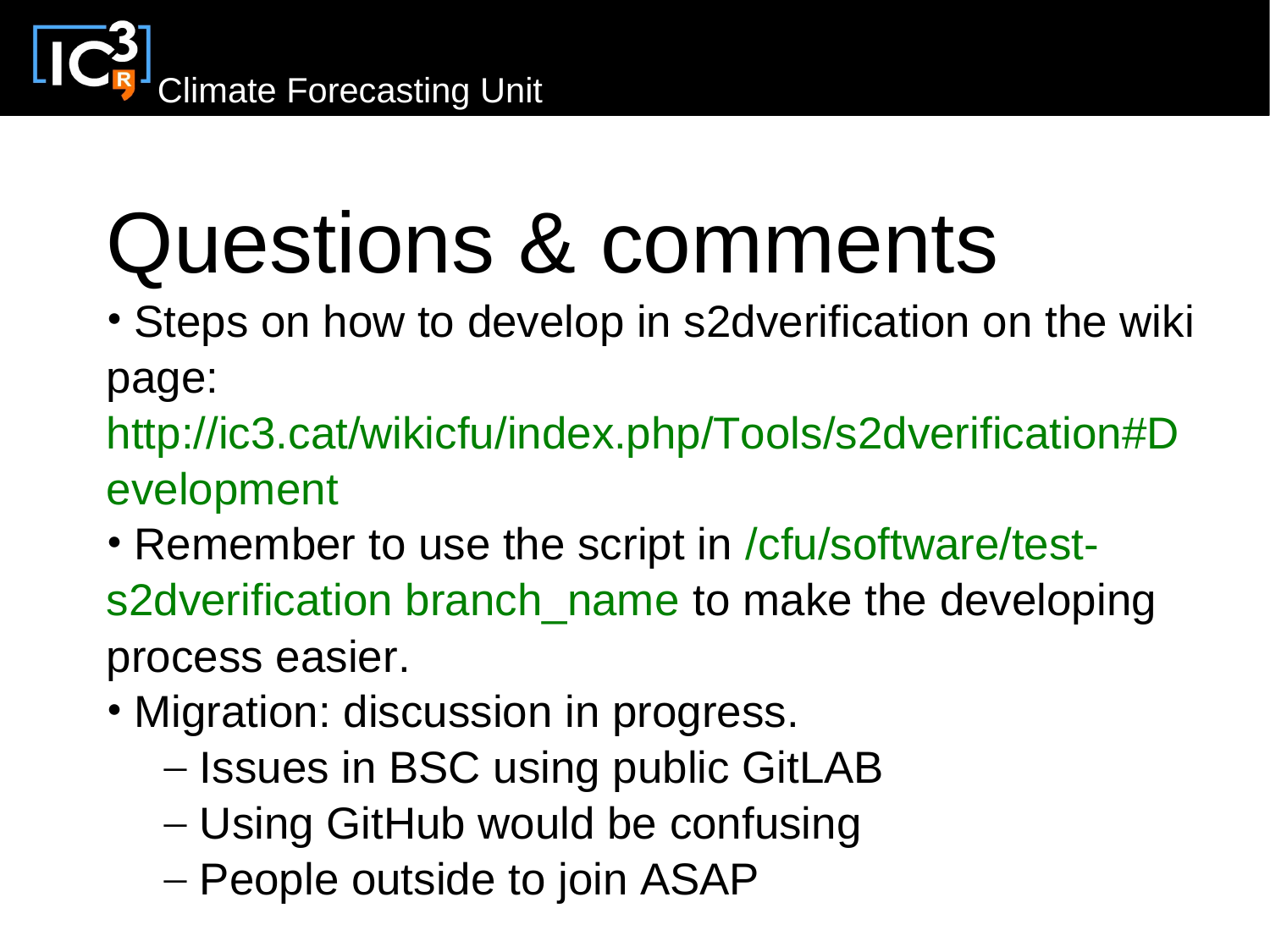

# Questions & comments

- Steps on how to develop in s2dverification on the wiki page:
- http://ic3.cat/wikicfu/index.php/Tools/s2dverification#D evelopment
- Remember to use the script in /cfu/software/tests2dverification branch name to make the developing process easier.
- Migration: discussion in progress.
	- Issues in BSC using public GitLAB
	- Using GitHub would be confusing
	- People outside to join ASAP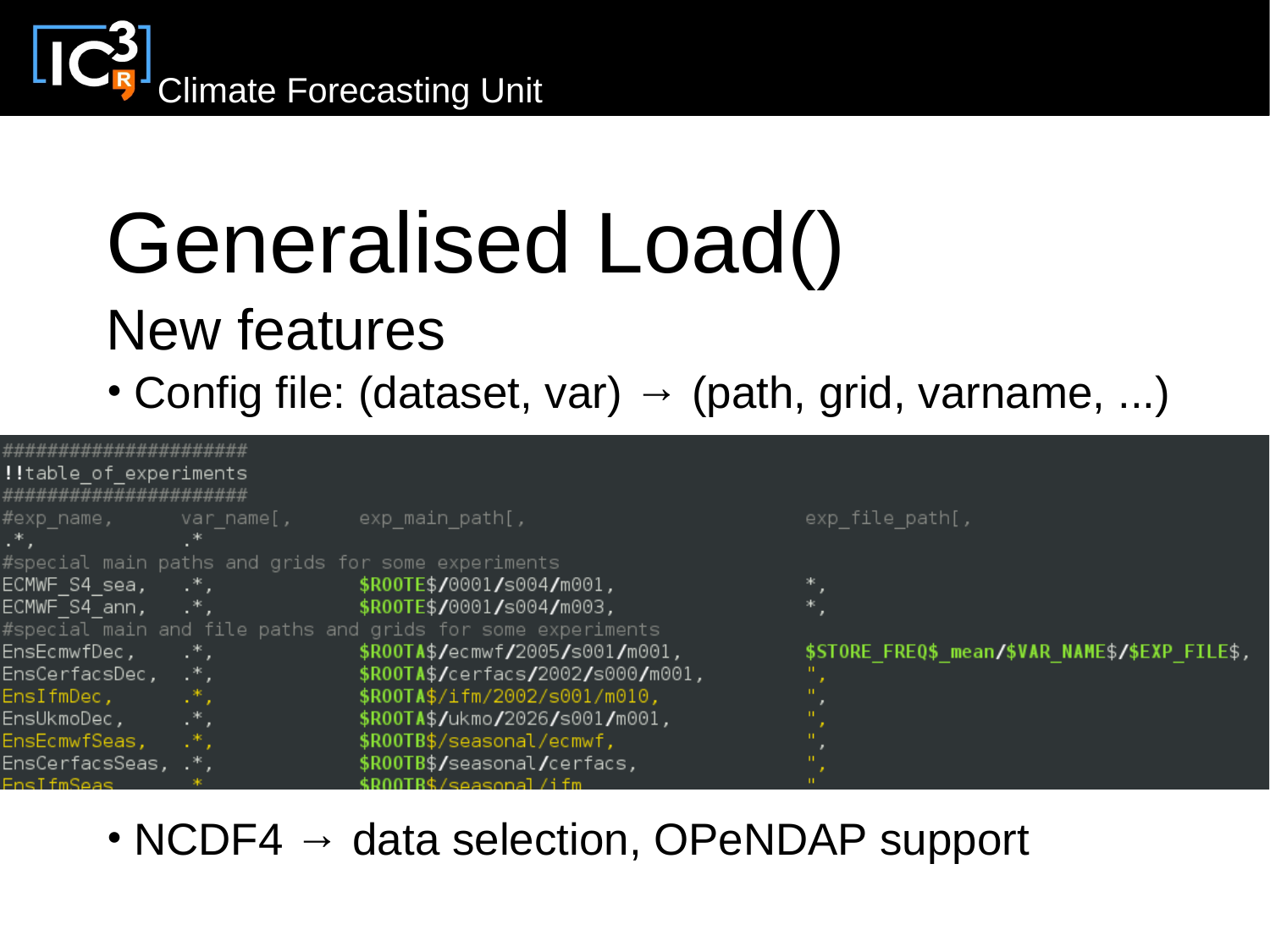

#### Generalised Load() New features

• Config file: (dataset, var)  $\rightarrow$  (path, grid, varname, ...)

| ######################                                      |     |                                             |                                                |
|-------------------------------------------------------------|-----|---------------------------------------------|------------------------------------------------|
| <b>!!</b> table_of_experiments                              |     |                                             |                                                |
| ######################                                      |     |                                             |                                                |
| $\#$ exp name, var name[,                                   |     | exp main path[,                             | $exp$ file $path$ [,                           |
| $\cdot^*$ .                                                 |     |                                             |                                                |
| #special main paths and grids for some experiments          |     |                                             |                                                |
|                                                             |     | ECMWF S4 sea, .*, \$ROOTE\$/0001/s004/m001, |                                                |
| ECMWF S4 ann, $\cdot^*$ , $\cdot$                           |     | \$ROOTE\$/0001/s004/m003,                   |                                                |
| #special main and file paths and grids for some experiments |     |                                             |                                                |
| EnsEcmwfDec,                                                | …*. | \$R00TA\$/ecmwf/2005/s001/m001,             | \$STORE FREQ\$ mean/\$VAR NAME\$/\$EXP FILE\$, |
| EnsCerfacsDec, .*,                                          |     | \$R00TA\$/cerfacs/2002/s000/m001,           |                                                |
| EnsIfmDec,                                                  | .*. | \$R00TA\$/ifm/2002/s001/m010,               |                                                |
| EnsUkmoDec,                                                 | .*. | \$R00TA\$/ukmo/2026/s001/m001,              |                                                |
| EnsEcmwfSeas,                                               |     | \$R00TB\$/seasonal/ecmwf,                   |                                                |
| EnsCerfacsSeas, .*,                                         |     | \$R00TB\$/seasonal/cerfacs,                 |                                                |
| <b>FnsifmSeas</b>                                           |     | \$ROOTB\$/seasonal/ifm                      |                                                |

• NCDF4  $\rightarrow$  data selection, OPeNDAP support